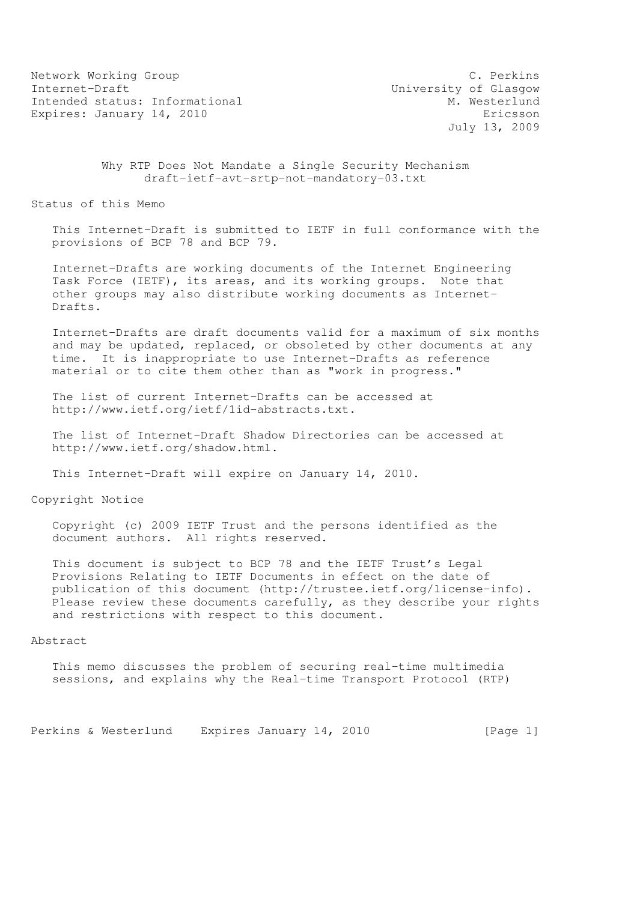Network Working Group C. Perkins Internet-Draft<br>Intended status: Informational M. Westerlund Intended status: Informational Expires: January 14, 2010 **Expires:** Expires: January 14, 2010

July 13, 2009

 Why RTP Does Not Mandate a Single Security Mechanism draft-ietf-avt-srtp-not-mandatory-03.txt

Status of this Memo

 This Internet-Draft is submitted to IETF in full conformance with the provisions of BCP 78 and BCP 79.

 Internet-Drafts are working documents of the Internet Engineering Task Force (IETF), its areas, and its working groups. Note that other groups may also distribute working documents as Internet- Drafts.

 Internet-Drafts are draft documents valid for a maximum of six months and may be updated, replaced, or obsoleted by other documents at any time. It is inappropriate to use Internet-Drafts as reference material or to cite them other than as "work in progress."

 The list of current Internet-Drafts can be accessed at http://www.ietf.org/ietf/1id-abstracts.txt.

 The list of Internet-Draft Shadow Directories can be accessed at http://www.ietf.org/shadow.html.

This Internet-Draft will expire on January 14, 2010.

Copyright Notice

 Copyright (c) 2009 IETF Trust and the persons identified as the document authors. All rights reserved.

 This document is subject to BCP 78 and the IETF Trust's Legal Provisions Relating to IETF Documents in effect on the date of publication of this document (http://trustee.ietf.org/license-info). Please review these documents carefully, as they describe your rights and restrictions with respect to this document.

#### Abstract

 This memo discusses the problem of securing real-time multimedia sessions, and explains why the Real-time Transport Protocol (RTP)

Perkins & Westerlund Expires January 14, 2010 [Page 1]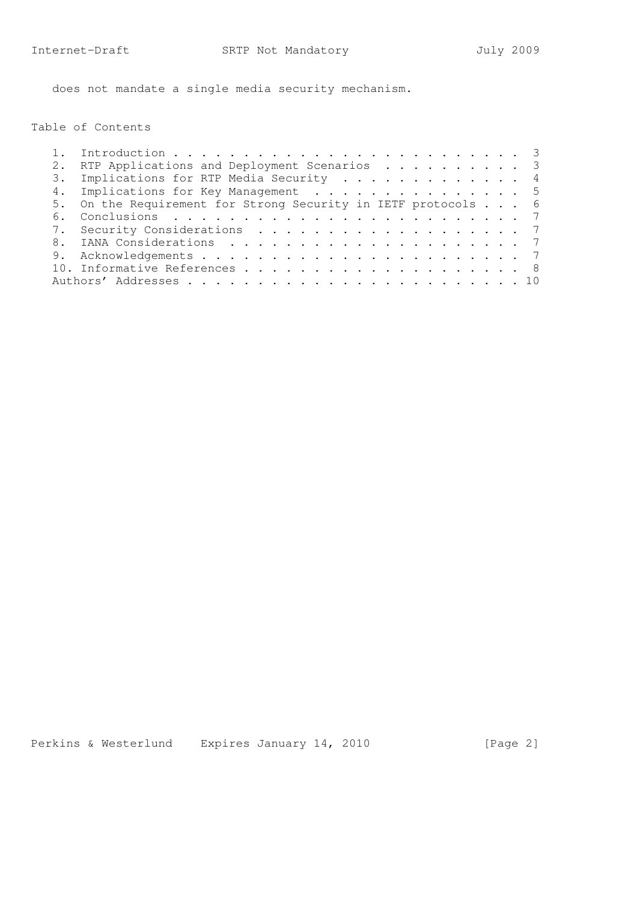does not mandate a single media security mechanism.

Table of Contents

|    | RTP Applications and Deployment Scenarios 3                   |  |
|----|---------------------------------------------------------------|--|
|    | 3. Implications for RTP Media Security 4                      |  |
|    | 4. Implications for Key Management 5                          |  |
|    | 5. On the Requirement for Strong Security in IETF protocols 6 |  |
| 6. |                                                               |  |
|    | 7. Security Considerations 7                                  |  |
| 8. |                                                               |  |
|    |                                                               |  |
|    |                                                               |  |
|    |                                                               |  |
|    |                                                               |  |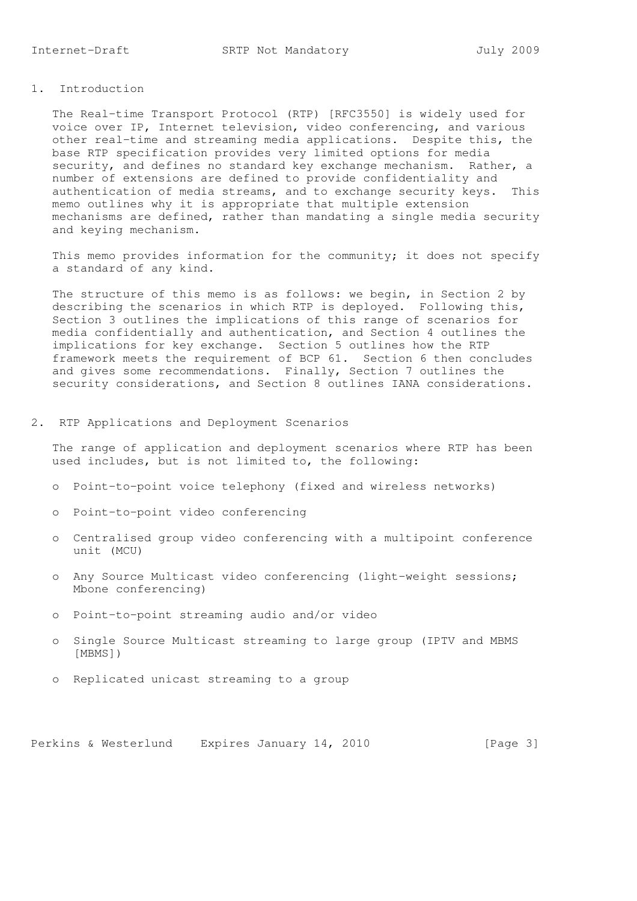## 1. Introduction

 The Real-time Transport Protocol (RTP) [RFC3550] is widely used for voice over IP, Internet television, video conferencing, and various other real-time and streaming media applications. Despite this, the base RTP specification provides very limited options for media security, and defines no standard key exchange mechanism. Rather, a number of extensions are defined to provide confidentiality and authentication of media streams, and to exchange security keys. This memo outlines why it is appropriate that multiple extension mechanisms are defined, rather than mandating a single media security and keying mechanism.

 This memo provides information for the community; it does not specify a standard of any kind.

The structure of this memo is as follows: we begin, in Section 2 by describing the scenarios in which RTP is deployed. Following this, Section 3 outlines the implications of this range of scenarios for media confidentially and authentication, and Section 4 outlines the implications for key exchange. Section 5 outlines how the RTP framework meets the requirement of BCP 61. Section 6 then concludes and gives some recommendations. Finally, Section 7 outlines the security considerations, and Section 8 outlines IANA considerations.

#### 2. RTP Applications and Deployment Scenarios

 The range of application and deployment scenarios where RTP has been used includes, but is not limited to, the following:

- o Point-to-point voice telephony (fixed and wireless networks)
- o Point-to-point video conferencing
- o Centralised group video conferencing with a multipoint conference unit (MCU)
- o Any Source Multicast video conferencing (light-weight sessions; Mbone conferencing)
- o Point-to-point streaming audio and/or video
- o Single Source Multicast streaming to large group (IPTV and MBMS [MBMS])
- o Replicated unicast streaming to a group

Perkins & Westerlund Expires January 14, 2010 [Page 3]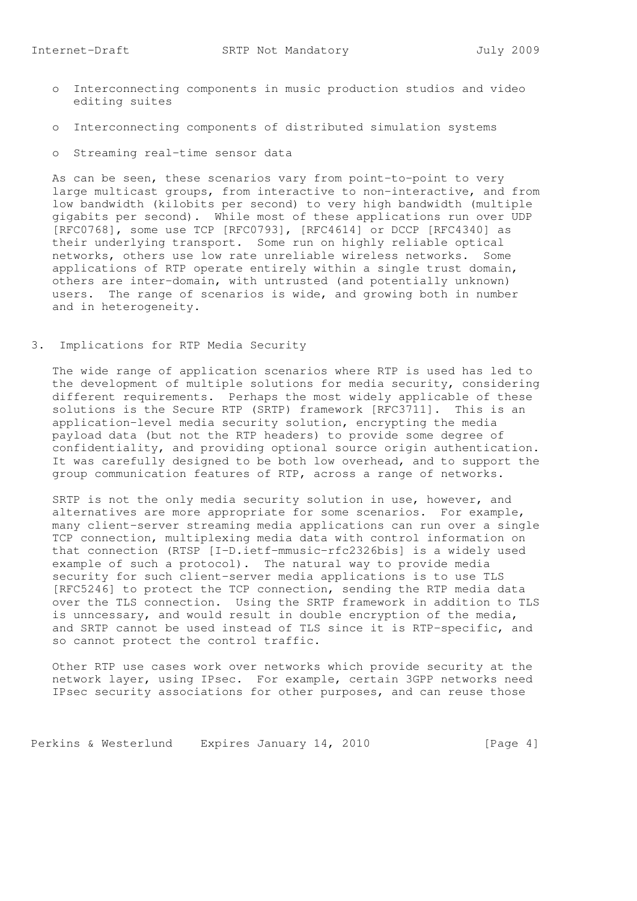- o Interconnecting components in music production studios and video editing suites
- o Interconnecting components of distributed simulation systems
- o Streaming real-time sensor data

 As can be seen, these scenarios vary from point-to-point to very large multicast groups, from interactive to non-interactive, and from low bandwidth (kilobits per second) to very high bandwidth (multiple gigabits per second). While most of these applications run over UDP [RFC0768], some use TCP [RFC0793], [RFC4614] or DCCP [RFC4340] as their underlying transport. Some run on highly reliable optical networks, others use low rate unreliable wireless networks. Some applications of RTP operate entirely within a single trust domain, others are inter-domain, with untrusted (and potentially unknown) users. The range of scenarios is wide, and growing both in number and in heterogeneity.

3. Implications for RTP Media Security

 The wide range of application scenarios where RTP is used has led to the development of multiple solutions for media security, considering different requirements. Perhaps the most widely applicable of these solutions is the Secure RTP (SRTP) framework [RFC3711]. This is an application-level media security solution, encrypting the media payload data (but not the RTP headers) to provide some degree of confidentiality, and providing optional source origin authentication. It was carefully designed to be both low overhead, and to support the group communication features of RTP, across a range of networks.

 SRTP is not the only media security solution in use, however, and alternatives are more appropriate for some scenarios. For example, many client-server streaming media applications can run over a single TCP connection, multiplexing media data with control information on that connection (RTSP [I-D.ietf-mmusic-rfc2326bis] is a widely used example of such a protocol). The natural way to provide media security for such client-server media applications is to use TLS [RFC5246] to protect the TCP connection, sending the RTP media data over the TLS connection. Using the SRTP framework in addition to TLS is unncessary, and would result in double encryption of the media, and SRTP cannot be used instead of TLS since it is RTP-specific, and so cannot protect the control traffic.

 Other RTP use cases work over networks which provide security at the network layer, using IPsec. For example, certain 3GPP networks need IPsec security associations for other purposes, and can reuse those

Perkins & Westerlund Expires January 14, 2010 [Page 4]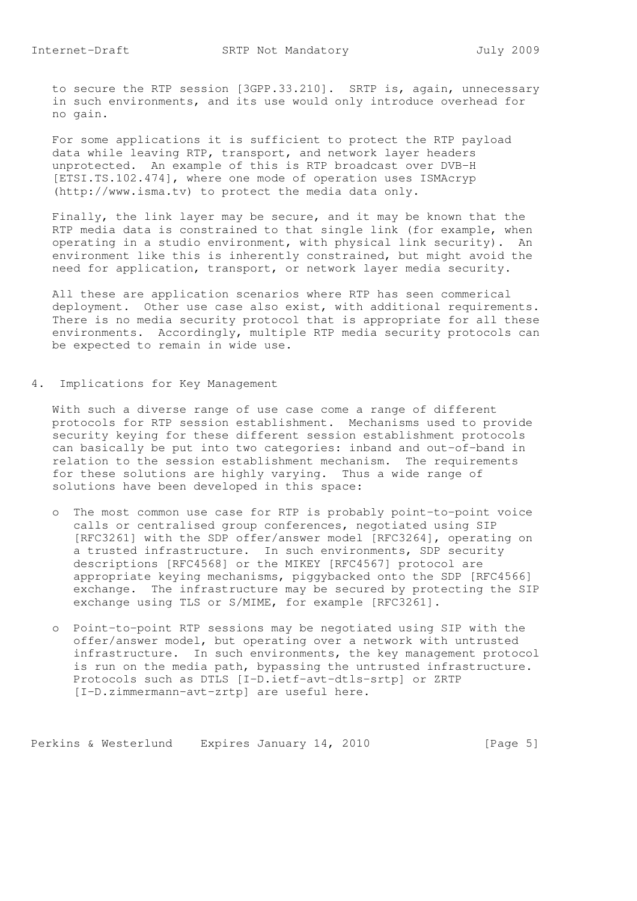to secure the RTP session [3GPP.33.210]. SRTP is, again, unnecessary in such environments, and its use would only introduce overhead for no gain.

 For some applications it is sufficient to protect the RTP payload data while leaving RTP, transport, and network layer headers unprotected. An example of this is RTP broadcast over DVB-H [ETSI.TS.102.474], where one mode of operation uses ISMAcryp (http://www.isma.tv) to protect the media data only.

 Finally, the link layer may be secure, and it may be known that the RTP media data is constrained to that single link (for example, when operating in a studio environment, with physical link security). An environment like this is inherently constrained, but might avoid the need for application, transport, or network layer media security.

 All these are application scenarios where RTP has seen commerical deployment. Other use case also exist, with additional requirements. There is no media security protocol that is appropriate for all these environments. Accordingly, multiple RTP media security protocols can be expected to remain in wide use.

4. Implications for Key Management

 With such a diverse range of use case come a range of different protocols for RTP session establishment. Mechanisms used to provide security keying for these different session establishment protocols can basically be put into two categories: inband and out-of-band in relation to the session establishment mechanism. The requirements for these solutions are highly varying. Thus a wide range of solutions have been developed in this space:

- o The most common use case for RTP is probably point-to-point voice calls or centralised group conferences, negotiated using SIP [RFC3261] with the SDP offer/answer model [RFC3264], operating on a trusted infrastructure. In such environments, SDP security descriptions [RFC4568] or the MIKEY [RFC4567] protocol are appropriate keying mechanisms, piggybacked onto the SDP [RFC4566] exchange. The infrastructure may be secured by protecting the SIP exchange using TLS or S/MIME, for example [RFC3261].
- o Point-to-point RTP sessions may be negotiated using SIP with the offer/answer model, but operating over a network with untrusted infrastructure. In such environments, the key management protocol is run on the media path, bypassing the untrusted infrastructure. Protocols such as DTLS [I-D.ietf-avt-dtls-srtp] or ZRTP [I-D.zimmermann-avt-zrtp] are useful here.

Perkins & Westerlund Expires January 14, 2010 [Page 5]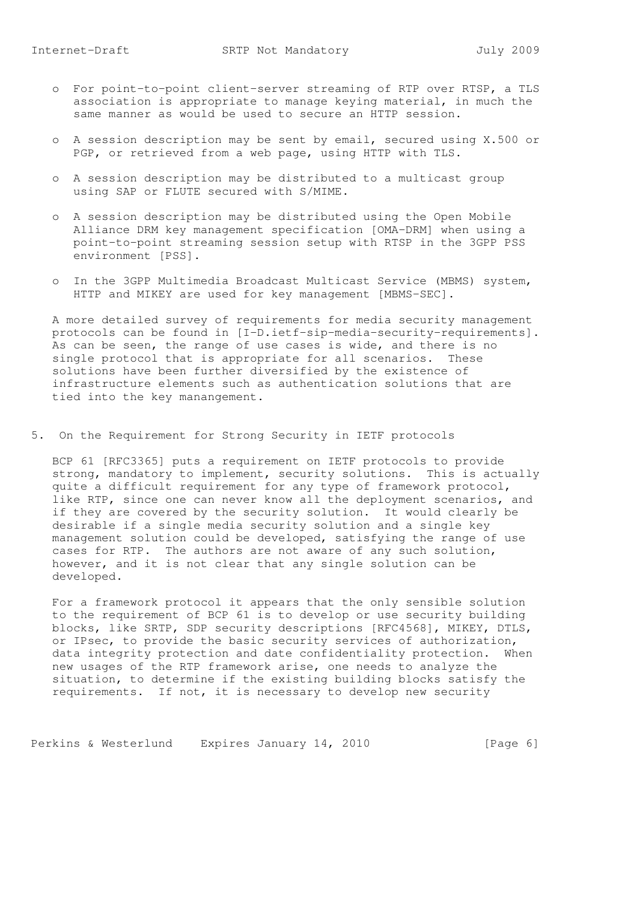- o For point-to-point client-server streaming of RTP over RTSP, a TLS association is appropriate to manage keying material, in much the same manner as would be used to secure an HTTP session.
- o A session description may be sent by email, secured using X.500 or PGP, or retrieved from a web page, using HTTP with TLS.
- o A session description may be distributed to a multicast group using SAP or FLUTE secured with S/MIME.
- o A session description may be distributed using the Open Mobile Alliance DRM key management specification [OMA-DRM] when using a point-to-point streaming session setup with RTSP in the 3GPP PSS environment [PSS].
- o In the 3GPP Multimedia Broadcast Multicast Service (MBMS) system, HTTP and MIKEY are used for key management [MBMS-SEC].

 A more detailed survey of requirements for media security management protocols can be found in [I-D.ietf-sip-media-security-requirements]. As can be seen, the range of use cases is wide, and there is no single protocol that is appropriate for all scenarios. These solutions have been further diversified by the existence of infrastructure elements such as authentication solutions that are tied into the key manangement.

5. On the Requirement for Strong Security in IETF protocols

 BCP 61 [RFC3365] puts a requirement on IETF protocols to provide strong, mandatory to implement, security solutions. This is actually quite a difficult requirement for any type of framework protocol, like RTP, since one can never know all the deployment scenarios, and if they are covered by the security solution. It would clearly be desirable if a single media security solution and a single key management solution could be developed, satisfying the range of use cases for RTP. The authors are not aware of any such solution, however, and it is not clear that any single solution can be developed.

 For a framework protocol it appears that the only sensible solution to the requirement of BCP 61 is to develop or use security building blocks, like SRTP, SDP security descriptions [RFC4568], MIKEY, DTLS, or IPsec, to provide the basic security services of authorization, data integrity protection and date confidentiality protection. When new usages of the RTP framework arise, one needs to analyze the situation, to determine if the existing building blocks satisfy the requirements. If not, it is necessary to develop new security

Perkins & Westerlund Expires January 14, 2010 [Page 6]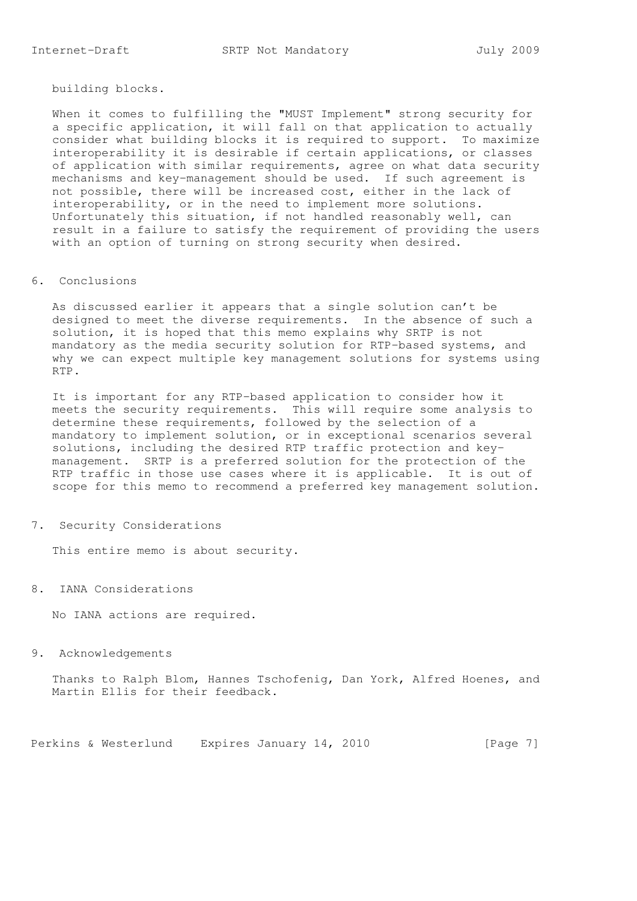building blocks.

 When it comes to fulfilling the "MUST Implement" strong security for a specific application, it will fall on that application to actually consider what building blocks it is required to support. To maximize interoperability it is desirable if certain applications, or classes of application with similar requirements, agree on what data security mechanisms and key-management should be used. If such agreement is not possible, there will be increased cost, either in the lack of interoperability, or in the need to implement more solutions. Unfortunately this situation, if not handled reasonably well, can result in a failure to satisfy the requirement of providing the users with an option of turning on strong security when desired.

#### 6. Conclusions

 As discussed earlier it appears that a single solution can't be designed to meet the diverse requirements. In the absence of such a solution, it is hoped that this memo explains why SRTP is not mandatory as the media security solution for RTP-based systems, and why we can expect multiple key management solutions for systems using RTP.

 It is important for any RTP-based application to consider how it meets the security requirements. This will require some analysis to determine these requirements, followed by the selection of a mandatory to implement solution, or in exceptional scenarios several solutions, including the desired RTP traffic protection and key management. SRTP is a preferred solution for the protection of the RTP traffic in those use cases where it is applicable. It is out of scope for this memo to recommend a preferred key management solution.

#### 7. Security Considerations

This entire memo is about security.

# 8. IANA Considerations

No IANA actions are required.

### 9. Acknowledgements

 Thanks to Ralph Blom, Hannes Tschofenig, Dan York, Alfred Hoenes, and Martin Ellis for their feedback.

Perkins & Westerlund Expires January 14, 2010 [Page 7]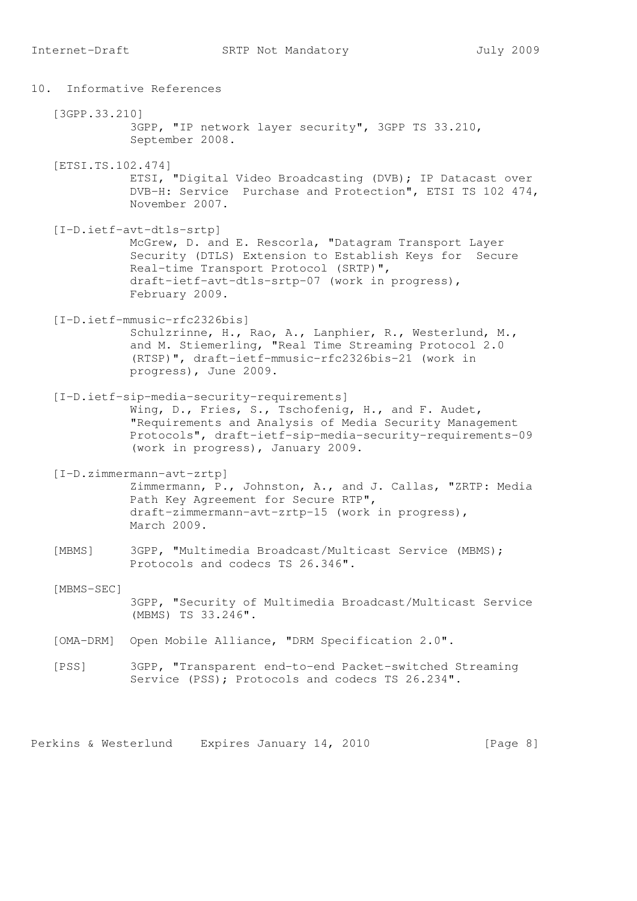10. Informative References [3GPP.33.210] 3GPP, "IP network layer security", 3GPP TS 33.210, September 2008. [ETSI.TS.102.474] ETSI, "Digital Video Broadcasting (DVB); IP Datacast over DVB-H: Service Purchase and Protection", ETSI TS 102 474, November 2007. [I-D.ietf-avt-dtls-srtp] McGrew, D. and E. Rescorla, "Datagram Transport Layer Security (DTLS) Extension to Establish Keys for Secure Real-time Transport Protocol (SRTP)", draft-ietf-avt-dtls-srtp-07 (work in progress), February 2009. [I-D.ietf-mmusic-rfc2326bis] Schulzrinne, H., Rao, A., Lanphier, R., Westerlund, M., and M. Stiemerling, "Real Time Streaming Protocol 2.0 (RTSP)", draft-ietf-mmusic-rfc2326bis-21 (work in progress), June 2009. [I-D.ietf-sip-media-security-requirements] Wing, D., Fries, S., Tschofenig, H., and F. Audet, "Requirements and Analysis of Media Security Management Protocols", draft-ietf-sip-media-security-requirements-09 (work in progress), January 2009. [I-D.zimmermann-avt-zrtp] Zimmermann, P., Johnston, A., and J. Callas, "ZRTP: Media Path Key Agreement for Secure RTP", draft-zimmermann-avt-zrtp-15 (work in progress), March 2009. [MBMS] 3GPP, "Multimedia Broadcast/Multicast Service (MBMS); Protocols and codecs TS 26.346". [MBMS-SEC] 3GPP, "Security of Multimedia Broadcast/Multicast Service (MBMS) TS 33.246". [OMA-DRM] Open Mobile Alliance, "DRM Specification 2.0". [PSS] 3GPP, "Transparent end-to-end Packet-switched Streaming Service (PSS); Protocols and codecs TS 26.234".

Perkins & Westerlund Expires January 14, 2010 [Page 8]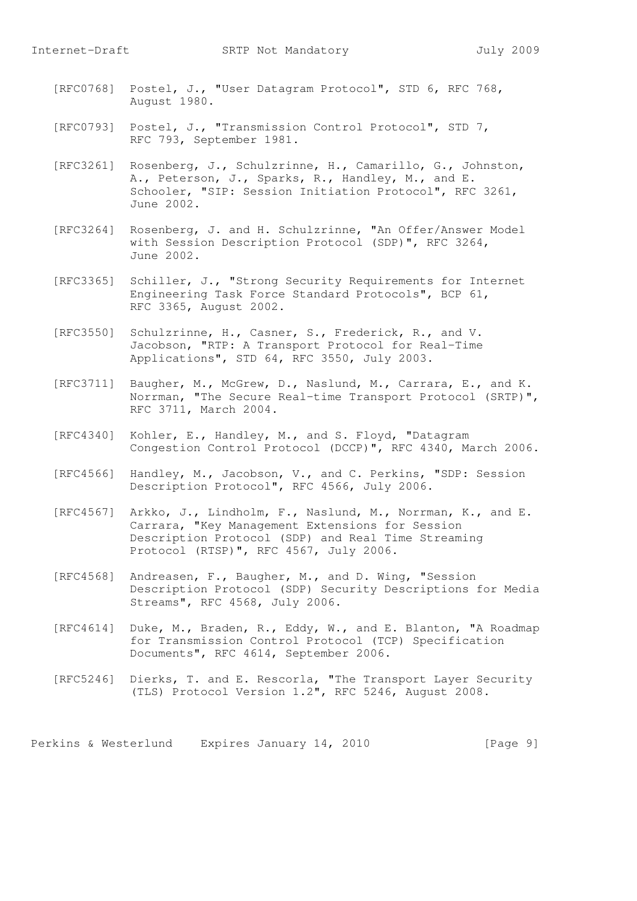- [RFC0768] Postel, J., "User Datagram Protocol", STD 6, RFC 768, August 1980.
- [RFC0793] Postel, J., "Transmission Control Protocol", STD 7, RFC 793, September 1981.
- [RFC3261] Rosenberg, J., Schulzrinne, H., Camarillo, G., Johnston, A., Peterson, J., Sparks, R., Handley, M., and E. Schooler, "SIP: Session Initiation Protocol", RFC 3261, June 2002.
- [RFC3264] Rosenberg, J. and H. Schulzrinne, "An Offer/Answer Model with Session Description Protocol (SDP)", RFC 3264, June 2002.
- [RFC3365] Schiller, J., "Strong Security Requirements for Internet Engineering Task Force Standard Protocols", BCP 61, RFC 3365, August 2002.
- [RFC3550] Schulzrinne, H., Casner, S., Frederick, R., and V. Jacobson, "RTP: A Transport Protocol for Real-Time Applications", STD 64, RFC 3550, July 2003.
- [RFC3711] Baugher, M., McGrew, D., Naslund, M., Carrara, E., and K. Norrman, "The Secure Real-time Transport Protocol (SRTP)", RFC 3711, March 2004.
- [RFC4340] Kohler, E., Handley, M., and S. Floyd, "Datagram Congestion Control Protocol (DCCP)", RFC 4340, March 2006.
- [RFC4566] Handley, M., Jacobson, V., and C. Perkins, "SDP: Session Description Protocol", RFC 4566, July 2006.
	- [RFC4567] Arkko, J., Lindholm, F., Naslund, M., Norrman, K., and E. Carrara, "Key Management Extensions for Session Description Protocol (SDP) and Real Time Streaming Protocol (RTSP)", RFC 4567, July 2006.
	- [RFC4568] Andreasen, F., Baugher, M., and D. Wing, "Session Description Protocol (SDP) Security Descriptions for Media Streams", RFC 4568, July 2006.
	- [RFC4614] Duke, M., Braden, R., Eddy, W., and E. Blanton, "A Roadmap for Transmission Control Protocol (TCP) Specification Documents", RFC 4614, September 2006.
	- [RFC5246] Dierks, T. and E. Rescorla, "The Transport Layer Security (TLS) Protocol Version 1.2", RFC 5246, August 2008.

Perkins & Westerlund Expires January 14, 2010 [Page 9]